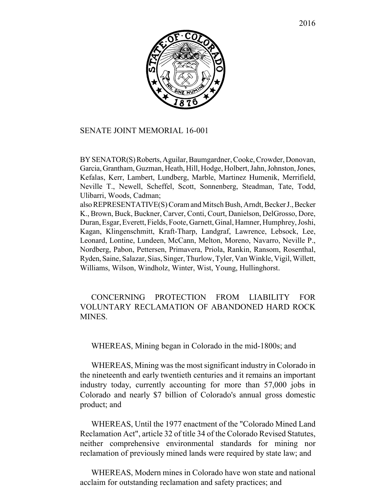

## SENATE JOINT MEMORIAL 16-001

BY SENATOR(S) Roberts, Aguilar, Baumgardner, Cooke, Crowder, Donovan, Garcia, Grantham, Guzman, Heath, Hill, Hodge, Holbert, Jahn, Johnston, Jones, Kefalas, Kerr, Lambert, Lundberg, Marble, Martinez Humenik, Merrifield, Neville T., Newell, Scheffel, Scott, Sonnenberg, Steadman, Tate, Todd, Ulibarri, Woods, Cadman;

also REPRESENTATIVE(S) Coram and Mitsch Bush, Arndt, Becker J., Becker K., Brown, Buck, Buckner, Carver, Conti, Court, Danielson, DelGrosso, Dore, Duran, Esgar, Everett, Fields, Foote, Garnett, Ginal, Hamner, Humphrey, Joshi, Kagan, Klingenschmitt, Kraft-Tharp, Landgraf, Lawrence, Lebsock, Lee, Leonard, Lontine, Lundeen, McCann, Melton, Moreno, Navarro, Neville P., Nordberg, Pabon, Pettersen, Primavera, Priola, Rankin, Ransom, Rosenthal, Ryden, Saine, Salazar, Sias, Singer, Thurlow, Tyler, Van Winkle, Vigil, Willett, Williams, Wilson, Windholz, Winter, Wist, Young, Hullinghorst.

CONCERNING PROTECTION FROM LIABILITY FOR VOLUNTARY RECLAMATION OF ABANDONED HARD ROCK **MINES** 

WHEREAS, Mining began in Colorado in the mid-1800s; and

WHEREAS, Mining was the most significant industry in Colorado in the nineteenth and early twentieth centuries and it remains an important industry today, currently accounting for more than 57,000 jobs in Colorado and nearly \$7 billion of Colorado's annual gross domestic product; and

WHEREAS, Until the 1977 enactment of the "Colorado Mined Land Reclamation Act", article 32 of title 34 of the Colorado Revised Statutes, neither comprehensive environmental standards for mining nor reclamation of previously mined lands were required by state law; and

WHEREAS, Modern mines in Colorado have won state and national acclaim for outstanding reclamation and safety practices; and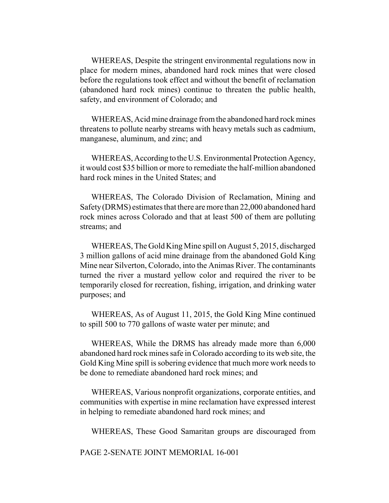WHEREAS, Despite the stringent environmental regulations now in place for modern mines, abandoned hard rock mines that were closed before the regulations took effect and without the benefit of reclamation (abandoned hard rock mines) continue to threaten the public health, safety, and environment of Colorado; and

WHEREAS, Acid mine drainage from the abandoned hard rock mines threatens to pollute nearby streams with heavy metals such as cadmium, manganese, aluminum, and zinc; and

WHEREAS, According to the U.S. Environmental Protection Agency, it would cost \$35 billion or more to remediate the half-million abandoned hard rock mines in the United States; and

WHEREAS, The Colorado Division of Reclamation, Mining and Safety (DRMS) estimates that there are more than 22,000 abandoned hard rock mines across Colorado and that at least 500 of them are polluting streams; and

WHEREAS, The Gold King Mine spill on August 5, 2015, discharged 3 million gallons of acid mine drainage from the abandoned Gold King Mine near Silverton, Colorado, into the Animas River. The contaminants turned the river a mustard yellow color and required the river to be temporarily closed for recreation, fishing, irrigation, and drinking water purposes; and

WHEREAS, As of August 11, 2015, the Gold King Mine continued to spill 500 to 770 gallons of waste water per minute; and

WHEREAS, While the DRMS has already made more than 6,000 abandoned hard rock mines safe in Colorado according to its web site, the Gold King Mine spill is sobering evidence that much more work needs to be done to remediate abandoned hard rock mines; and

WHEREAS, Various nonprofit organizations, corporate entities, and communities with expertise in mine reclamation have expressed interest in helping to remediate abandoned hard rock mines; and

WHEREAS, These Good Samaritan groups are discouraged from

PAGE 2-SENATE JOINT MEMORIAL 16-001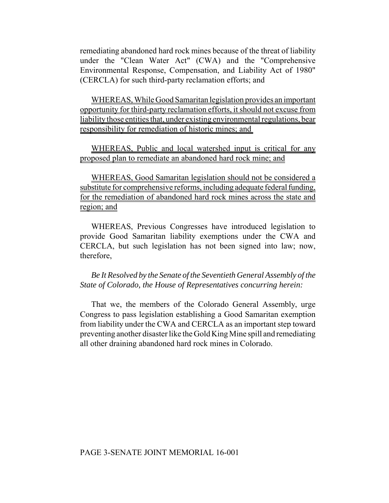remediating abandoned hard rock mines because of the threat of liability under the "Clean Water Act" (CWA) and the "Comprehensive Environmental Response, Compensation, and Liability Act of 1980" (CERCLA) for such third-party reclamation efforts; and

WHEREAS, While Good Samaritan legislation provides an important opportunity for third-party reclamation efforts, it should not excuse from liability those entities that, under existing environmental regulations, bear responsibility for remediation of historic mines; and

WHEREAS, Public and local watershed input is critical for any proposed plan to remediate an abandoned hard rock mine; and

WHEREAS, Good Samaritan legislation should not be considered a substitute for comprehensive reforms, including adequate federal funding, for the remediation of abandoned hard rock mines across the state and region; and

WHEREAS, Previous Congresses have introduced legislation to provide Good Samaritan liability exemptions under the CWA and CERCLA, but such legislation has not been signed into law; now, therefore,

*Be It Resolved by the Senate of the Seventieth General Assembly of the State of Colorado, the House of Representatives concurring herein:*

That we, the members of the Colorado General Assembly, urge Congress to pass legislation establishing a Good Samaritan exemption from liability under the CWA and CERCLA as an important step toward preventing another disaster like the Gold King Mine spill and remediating all other draining abandoned hard rock mines in Colorado.